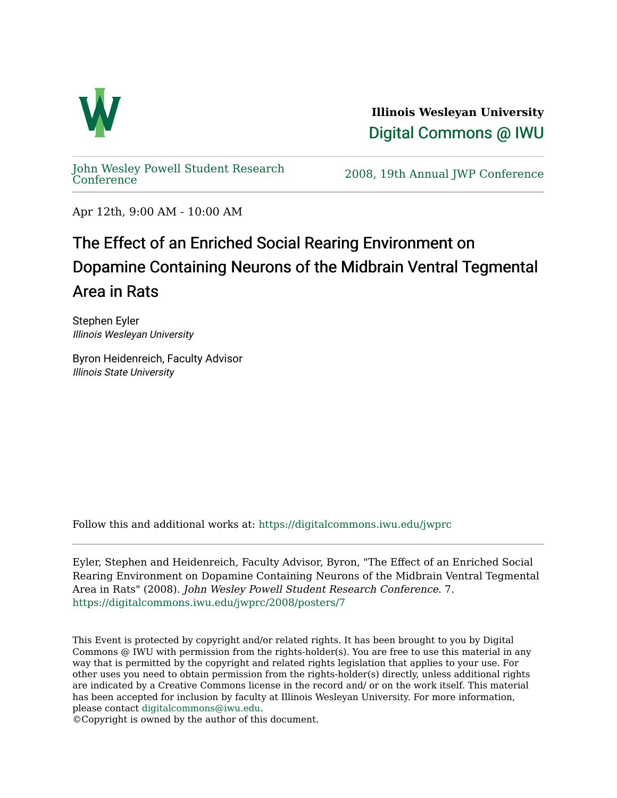

**Illinois Wesleyan University**  [Digital Commons @ IWU](https://digitalcommons.iwu.edu/) 

[John Wesley Powell Student Research](https://digitalcommons.iwu.edu/jwprc) 

2008, 19th Annual JWP [Conference](https://digitalcommons.iwu.edu/jwprc)

Apr 12th, 9:00 AM - 10:00 AM

## The Effect of an Enriched Social Rearing Environment on Dopamine Containing Neurons of the Midbrain Ventral Tegmental Area in Rats

Stephen Eyler Illinois Wesleyan University

Byron Heidenreich, Faculty Advisor Illinois State University

Follow this and additional works at: [https://digitalcommons.iwu.edu/jwprc](https://digitalcommons.iwu.edu/jwprc?utm_source=digitalcommons.iwu.edu%2Fjwprc%2F2008%2Fposters%2F7&utm_medium=PDF&utm_campaign=PDFCoverPages) 

Eyler, Stephen and Heidenreich, Faculty Advisor, Byron, "The Effect of an Enriched Social Rearing Environment on Dopamine Containing Neurons of the Midbrain Ventral Tegmental Area in Rats" (2008). John Wesley Powell Student Research Conference. 7. [https://digitalcommons.iwu.edu/jwprc/2008/posters/7](https://digitalcommons.iwu.edu/jwprc/2008/posters/7?utm_source=digitalcommons.iwu.edu%2Fjwprc%2F2008%2Fposters%2F7&utm_medium=PDF&utm_campaign=PDFCoverPages) 

This Event is protected by copyright and/or related rights. It has been brought to you by Digital Commons @ IWU with permission from the rights-holder(s). You are free to use this material in any way that is permitted by the copyright and related rights legislation that applies to your use. For other uses you need to obtain permission from the rights-holder(s) directly, unless additional rights are indicated by a Creative Commons license in the record and/ or on the work itself. This material has been accepted for inclusion by faculty at Illinois Wesleyan University. For more information, please contact [digitalcommons@iwu.edu.](mailto:digitalcommons@iwu.edu)

©Copyright is owned by the author of this document.